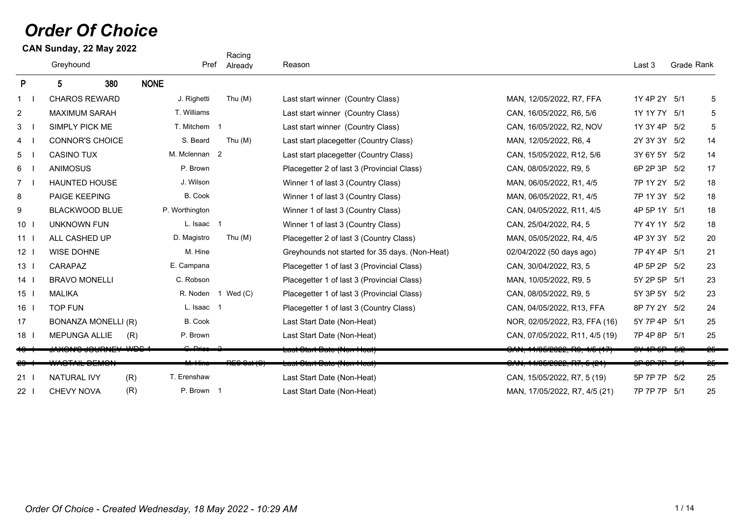# *Order Of Choice*

**CAN Sunday, 22 May 2022**

|                 | Greyhound                |     | Pref           | Racing<br>Already | Reason                                         |                                           | Last 3       | Grade Rank |            |
|-----------------|--------------------------|-----|----------------|-------------------|------------------------------------------------|-------------------------------------------|--------------|------------|------------|
| P               | 380<br>5                 |     | <b>NONE</b>    |                   |                                                |                                           |              |            |            |
| $1 \quad$       | <b>CHAROS REWARD</b>     |     | J. Righetti    | Thu $(M)$         | Last start winner (Country Class)              | MAN, 12/05/2022, R7, FFA                  | 1Y 4P 2Y 5/1 |            | 5          |
| $\overline{2}$  | <b>MAXIMUM SARAH</b>     |     | T. Williams    |                   | Last start winner (Country Class)              | CAN, 16/05/2022, R6, 5/6                  | 1Y 1Y 7Y 5/1 |            | 5          |
| 3               | <b>SIMPLY PICK ME</b>    |     | T. Mitchem 1   |                   | Last start winner (Country Class)              | CAN, 16/05/2022, R2, NOV                  | 1Y 3Y 4P 5/2 |            | $\sqrt{5}$ |
| $\overline{4}$  | <b>CONNOR'S CHOICE</b>   |     | S. Beard       | Thu $(M)$         | Last start placegetter (Country Class)         | MAN, 12/05/2022, R6, 4                    | 2Y 3Y 3Y 5/2 |            | 14         |
| 5 <sup>5</sup>  | <b>CASINO TUX</b>        |     | M. Mclennan 2  |                   | Last start placegetter (Country Class)         | CAN, 15/05/2022, R12, 5/6                 | 3Y 6Y 5Y 5/2 |            | 14         |
| $6\overline{6}$ | <b>ANIMOSUS</b>          |     | P. Brown       |                   | Placegetter 2 of last 3 (Provincial Class)     | CAN, 08/05/2022, R9, 5                    | 6P 2P 3P 5/2 |            | 17         |
| 7               | <b>HAUNTED HOUSE</b>     |     | J. Wilson      |                   | Winner 1 of last 3 (Country Class)             | MAN, 06/05/2022, R1, 4/5                  | 7P 1Y 2Y 5/2 |            | 18         |
| 8               | PAIGE KEEPING            |     | B. Cook        |                   | Winner 1 of last 3 (Country Class)             | MAN, 06/05/2022, R1, 4/5                  | 7P 1Y 3Y 5/2 |            | 18         |
| 9               | <b>BLACKWOOD BLUE</b>    |     | P. Worthington |                   | Winner 1 of last 3 (Country Class)             | CAN, 04/05/2022, R11, 4/5                 | 4P 5P 1Y 5/1 |            | 18         |
| 10              | <b>UNKNOWN FUN</b>       |     | L. Isaac 1     |                   | Winner 1 of last 3 (Country Class)             | CAN, 25/04/2022, R4, 5                    | 7Y 4Y 1Y 5/2 |            | 18         |
| 11              | ALL CASHED UP            |     | D. Magistro    | Thu $(M)$         | Placegetter 2 of last 3 (Country Class)        | MAN, 05/05/2022, R4, 4/5                  | 4P 3Y 3Y 5/2 |            | 20         |
| 12              | <b>WISE DOHNE</b>        |     | M. Hine        |                   | Greyhounds not started for 35 days. (Non-Heat) | 02/04/2022 (50 days ago)                  | 7P 4Y 4P 5/1 |            | 21         |
| 13              | CARAPAZ                  |     | E. Campana     |                   | Placegetter 1 of last 3 (Provincial Class)     | CAN, 30/04/2022, R3, 5                    | 4P 5P 2P     | 5/2        | 23         |
| 14              | <b>BRAVO MONELLI</b>     |     | C. Robson      |                   | Placegetter 1 of last 3 (Provincial Class)     | MAN, 10/05/2022, R9, 5                    | 5Y 2P 5P 5/1 |            | 23         |
| 15              | <b>MALIKA</b>            |     | R. Noden 1     | Wed(C)            | Placegetter 1 of last 3 (Provincial Class)     | CAN, 08/05/2022, R9, 5                    | 5Y 3P 5Y 5/2 |            | 23         |
| 16              | <b>TOP FUN</b>           |     | L. Isaac 1     |                   | Placegetter 1 of last 3 (Country Class)        | CAN, 04/05/2022, R13, FFA                 | 8P 7Y 2Y 5/2 |            | 24         |
| 17              | BONANZA MONELLI (R)      |     | B. Cook        |                   | Last Start Date (Non-Heat)                     | NOR, 02/05/2022, R3, FFA (16)             | 5Y 7P 4P 5/1 |            | 25         |
| 18              | <b>MEPUNGA ALLIE</b>     | (R) | P. Brown       |                   | Last Start Date (Non-Heat)                     | CAN, 07/05/2022, R11, 4/5 (19)            | 7P 4P 8P 5/1 |            | 25         |
|                 |                          |     |                |                   | <del>Last Clart Date (Non-Heat)</del>          | <u>ן זון טוד, טוער בשבע, ווע, דור ז</u> ט |              |            |            |
|                 | <del>WASTAIL DEMON</del> |     |                |                   | <u> Laot Otant Dato (Non-Fitcat)</u>           | <del>OAN, 14/05/2022, R7, 5 (21)</del>    |              |            |            |
| 21              | <b>NATURAL IVY</b>       | (R) | T. Erenshaw    |                   | Last Start Date (Non-Heat)                     | CAN, 15/05/2022, R7, 5 (19)               | 5P 7P 7P 5/2 |            | 25         |
| 22              | <b>CHEVY NOVA</b>        | (R) | P. Brown 1     |                   | Last Start Date (Non-Heat)                     | MAN, 17/05/2022, R7, 4/5 (21)             | 7P 7P 7P 5/1 |            | 25         |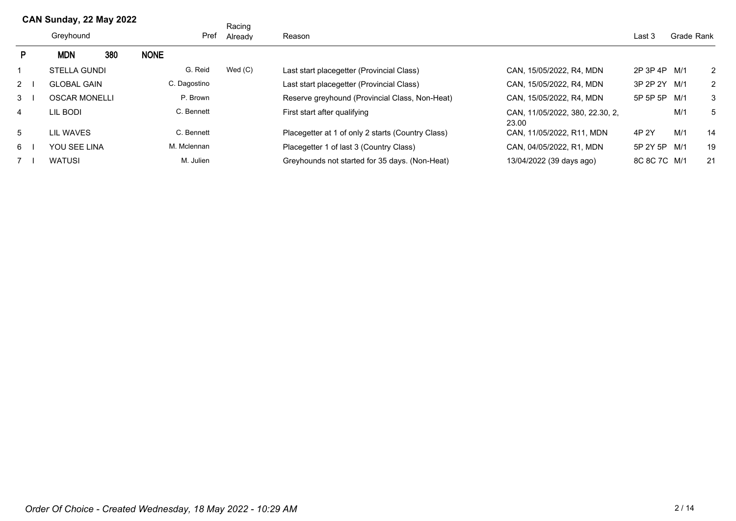|                | Greyhound |                     |     | Pref         | Racing<br>Already | Reason                                            |                                          |              | Grade Rank |    |
|----------------|-----------|---------------------|-----|--------------|-------------------|---------------------------------------------------|------------------------------------------|--------------|------------|----|
| P.             |           | <b>MDN</b>          | 380 | <b>NONE</b>  |                   |                                                   |                                          |              |            |    |
|                |           | <b>STELLA GUNDI</b> |     | G. Reid      | Wed $(C)$         | Last start placegetter (Provincial Class)         | CAN. 15/05/2022. R4. MDN                 | 2P 3P 4P M/1 |            | 2  |
| $2 \mid$       |           | <b>GLOBAL GAIN</b>  |     | C. Dagostino |                   | Last start placegetter (Provincial Class)         | CAN, 15/05/2022, R4, MDN                 | 3P 2P 2Y M/1 |            | 2  |
| $3 \Box$       |           | OSCAR MONELLI       |     | P. Brown     |                   | Reserve greyhound (Provincial Class, Non-Heat)    | CAN. 15/05/2022. R4. MDN                 | 5P 5P 5P M/1 |            | 3  |
| $\overline{4}$ |           | lil Bodi            |     | C. Bennett   |                   | First start after qualifying                      | CAN, 11/05/2022, 380, 22.30, 2,<br>23.00 |              | M/1        | 5  |
| 5              |           | LIL WAVES           |     | C. Bennett   |                   | Placegetter at 1 of only 2 starts (Country Class) | CAN, 11/05/2022, R11, MDN                | 4P 2Y        | M/1        | 14 |
| 6              |           | YOU SEE LINA        |     | M. Mclennan  |                   | Placegetter 1 of last 3 (Country Class)           | CAN. 04/05/2022. R1. MDN                 | 5P 2Y 5P M/1 |            | 19 |
|                |           | <b>WATUSI</b>       |     | M. Julien    |                   | Greyhounds not started for 35 days. (Non-Heat)    | 13/04/2022 (39 days ago)                 | 8C 8C 7C M/1 |            | 21 |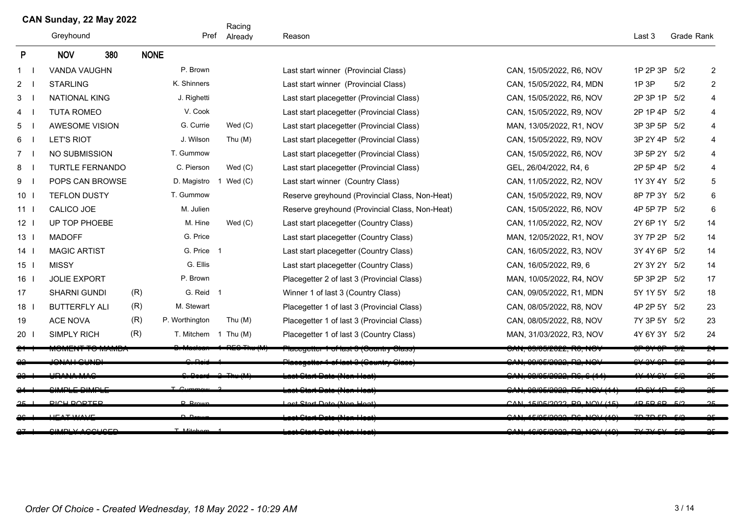|                                         | UMIY JUHUAY, LL IVIAY LULL<br>Greyhound<br>380 |                          | Pref        | Racing<br>Already    | Reason      |                                                | Last 3                         | Grade Rank   |     |                |
|-----------------------------------------|------------------------------------------------|--------------------------|-------------|----------------------|-------------|------------------------------------------------|--------------------------------|--------------|-----|----------------|
| P                                       |                                                | <b>NOV</b>               | <b>NONE</b> |                      |             |                                                |                                |              |     |                |
| $\mathbf{1}$                            |                                                | <b>VANDA VAUGHN</b>      |             | P. Brown             |             | Last start winner (Provincial Class)           | CAN, 15/05/2022, R6, NOV       | 1P 2P 3P     | 5/2 | $\overline{2}$ |
| $\overline{2}$                          |                                                | <b>STARLING</b>          |             | K. Shinners          |             | Last start winner (Provincial Class)           | CAN, 15/05/2022, R4, MDN       | 1P 3P        | 5/2 | $\overline{2}$ |
| 3                                       |                                                | <b>NATIONAL KING</b>     |             | J. Righetti          |             | Last start placegetter (Provincial Class)      | CAN, 15/05/2022, R6, NOV       | 2P 3P 1P     | 5/2 | 4              |
| 4                                       |                                                | <b>TUTA ROMEO</b>        |             | V. Cook              |             | Last start placegetter (Provincial Class)      | CAN, 15/05/2022, R9, NOV       | 2P 1P 4P     | 5/2 | 4              |
| 5                                       |                                                | <b>AWESOME VISION</b>    |             | G. Currie            | Wed $(C)$   | Last start placegetter (Provincial Class)      | MAN, 13/05/2022, R1, NOV       | 3P 3P 5P     | 5/2 | 4              |
| 6                                       |                                                | <b>LET'S RIOT</b>        |             | J. Wilson            | Thu (M)     | Last start placegetter (Provincial Class)      | CAN, 15/05/2022, R9, NOV       | 3P 2Y 4P     | 5/2 | 4              |
| $7^{\circ}$<br>$\overline{\phantom{a}}$ |                                                | NO SUBMISSION            |             | T. Gummow            |             | Last start placegetter (Provincial Class)      | CAN, 15/05/2022, R6, NOV       | 3P 5P 2Y     | 5/2 | 4              |
| 8                                       |                                                | <b>TURTLE FERNANDO</b>   |             | C. Pierson           | Wed $(C)$   | Last start placegetter (Provincial Class)      | GEL, 26/04/2022, R4, 6         | 2P 5P 4P     | 5/2 | 4              |
| 9<br>$\overline{\phantom{a}}$           |                                                | POPS CAN BROWSE          |             | D. Magistro          | 1 Wed $(C)$ | Last start winner (Country Class)              | CAN, 11/05/2022, R2, NOV       | 1Y 3Y 4Y 5/2 |     | 5              |
| $10-1$                                  |                                                | <b>TEFLON DUSTY</b>      |             | T. Gummow            |             | Reserve greyhound (Provincial Class, Non-Heat) | CAN, 15/05/2022, R9, NOV       | 8P 7P 3Y 5/2 |     | 6              |
| 11 <sup>1</sup>                         |                                                | CALICO JOE               |             | M. Julien            |             | Reserve greyhound (Provincial Class, Non-Heat) | CAN, 15/05/2022, R6, NOV       | 4P 5P 7P     | 5/2 | 6              |
| 12 <sub>1</sub>                         |                                                | UP TOP PHOEBE            |             | M. Hine              | Wed(C)      | Last start placegetter (Country Class)         | CAN, 11/05/2022, R2, NOV       | 2Y 6P 1Y 5/2 |     | 14             |
| $13-1$                                  |                                                | <b>MADOFF</b>            |             | G. Price             |             | Last start placegetter (Country Class)         | MAN, 12/05/2022, R1, NOV       | 3Y 7P 2P     | 5/2 | 14             |
| $14$ l                                  |                                                | <b>MAGIC ARTIST</b>      |             | G. Price 1           |             | Last start placegetter (Country Class)         | CAN, 16/05/2022, R3, NOV       | 3Y 4Y 6P 5/2 |     | 14             |
| $15$                                    |                                                | <b>MISSY</b>             |             | G. Ellis             |             | Last start placegetter (Country Class)         | CAN, 16/05/2022, R9, 6         | 2Y 3Y 2Y 5/2 |     | 14             |
| 16 <sup>1</sup>                         |                                                | <b>JOLIE EXPORT</b>      |             | P. Brown             |             | Placegetter 2 of last 3 (Provincial Class)     | MAN, 10/05/2022, R4, NOV       | 5P 3P 2P 5/2 |     | 17             |
| 17                                      |                                                | <b>SHARNI GUNDI</b>      | (R)         | G. Reid 1            |             | Winner 1 of last 3 (Country Class)             | CAN, 09/05/2022, R1, MDN       | 5Y 1Y 5Y 5/2 |     | 18             |
| $18$ $\overline{\phantom{1}}$           |                                                | <b>BUTTERFLY ALI</b>     | (R)         | M. Stewart           |             | Placegetter 1 of last 3 (Provincial Class)     | CAN, 08/05/2022, R8, NOV       | 4P 2P 5Y 5/2 |     | 23             |
| 19                                      |                                                | <b>ACE NOVA</b>          | (R)         | P. Worthington       | Thu $(M)$   | Placegetter 1 of last 3 (Provincial Class)     | CAN, 08/05/2022, R8, NOV       | 7Y 3P 5Y 5/2 |     | 23             |
| 20 <sub>1</sub>                         |                                                | <b>SIMPLY RICH</b>       | (R)         | T. Mitchem 1 Thu (M) |             | Placegetter 1 of last 3 (Country Class)        | MAN, 31/03/2022, R3, NOV       | 4Y 6Y 3Y 5/2 |     | 24             |
|                                         |                                                | ∧שועה זעו ט ד דער∟ועוטוע |             |                      |             | Hacegetter Tol last 3 (Country Class)          | <u>י טרויזע (ערעכע, ווי</u> רע |              |     |                |
|                                         |                                                | $\sim$ MALLALINID        |             |                      |             |                                                | ABIAFIRADO PO                  |              |     |                |
|                                         |                                                |                          |             |                      |             |                                                |                                |              |     |                |
|                                         |                                                | $CUMOL$ $COMOL$          |             |                      |             | بمصيب                                          | ABIAFIRADO DE                  |              |     |                |
|                                         |                                                | <b>DICU DODTED</b>       |             | <b>D</b> Rrown       |             | ast Ctart Data (Nan Haat)                      | CAN 150500220011011135         | ADEDED B     |     |                |
|                                         |                                                |                          |             |                      |             |                                                | FIORIOCOO DC                   |              |     |                |
|                                         |                                                | <b>CIMBLY ACCURED</b>    |             | $T$ Mitcher          |             | ant Ctart Data (Nan Haat)                      | CAN 1010510000 DO NOV (10)     | 7V 7V FV     |     |                |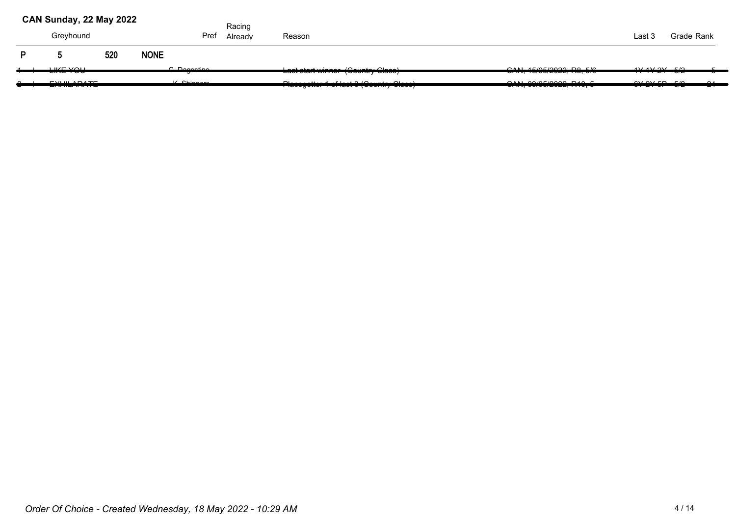|        | CAN Sunday, 22 May 2022                          |     |             |                                 | Racing  |                                                                                                        |                                                                                                                               |                                 |            |              |
|--------|--------------------------------------------------|-----|-------------|---------------------------------|---------|--------------------------------------------------------------------------------------------------------|-------------------------------------------------------------------------------------------------------------------------------|---------------------------------|------------|--------------|
|        | Greyhound                                        |     |             | Pref                            | Already | Reason                                                                                                 |                                                                                                                               | Last 3                          | Grade Rank |              |
| D.     |                                                  | 520 | <b>NONE</b> |                                 |         |                                                                                                        |                                                                                                                               |                                 |            |              |
|        | <b>LIKE VALL</b>                                 |     |             | $C$ Degesting<br>_____          |         | Lookatarturingan (Country Close)<br><b>Last start minimum powering stace,</b>                          |                                                                                                                               | $4V4V9V$ $F/2$<br><del>.</del>  |            |              |
| $\sim$ | <b>CVUULADATE</b><br>_ <del>_______</del> ______ |     |             | $V$ Chinana<br>. . <del>.</del> |         | $D_1$ are settled at $A = f(x+1)$ $(0, \ldots, x$<br><u>1 Idoogottor + or Idot o (Oodinii y Oldoo)</u> | OMI<br>$\sigma$ , $\sigma$ , $\sigma$ , $\sigma$ , $\sigma$ , $\sigma$ , $\sigma$ , $\sigma$ , $\sigma$ , $\sigma$ , $\sigma$ | $0.101$ $F_{\rm D}$ $F_{\rm D}$ |            | $\mathbf{A}$ |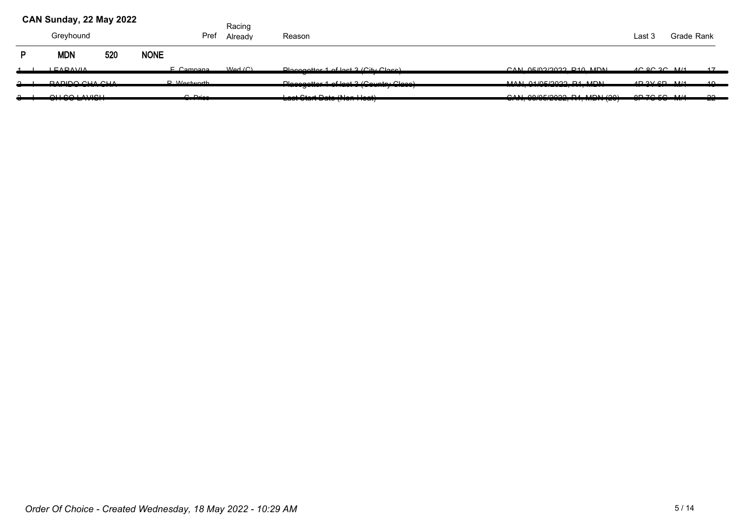|        | CAN Sunday, 22 May 2022                           |     |                      | Racing  |                                                         |                                                                             |                                                                |            |                 |
|--------|---------------------------------------------------|-----|----------------------|---------|---------------------------------------------------------|-----------------------------------------------------------------------------|----------------------------------------------------------------|------------|-----------------|
|        | Greyhound                                         |     | Pref                 | Already | Reason                                                  |                                                                             | Last 3                                                         | Grade Rank |                 |
| P      | <b>MDN</b>                                        | 520 | <b>NONE</b>          |         |                                                         |                                                                             |                                                                |            |                 |
|        | <b>LEADAVIA</b>                                   |     | E Campana            | Mod(C)  | Placegotter 1 of last 3 (City Class)                    | $CAN$ $O E / O 2/2022$ $D 10$ $M N N$                                       | $AC$ $QC$ $2C$ $M/4$                                           |            | 47              |
| $\sim$ | DADIDO CUA CUA                                    |     | $D$ <i>Mostworth</i> |         | Dloegeatter 1 of leat 2 (Country Class)                 | MANI 04/05/2022 D4 MDNI                                                     | $AD$ $Q$ $Q$ $D$ $R$ $I$ $I$ $I$                               |            | $\overline{40}$ |
| $\sim$ | QH QQ H M U QH<br><del>,,,,,,,,,,,,</del> ,,,,,,, |     | $\cap$ Drigg         |         | $-1$ $O(1 - 1)$ $O(1 - 1)$<br>Last start pats from Heat | $QAB$ , $QQ/BE/QQQQDAABIDAB/QQQ$<br><del>0701,0070072022,111,10011120</del> | $0 \rightarrow 70 \rightarrow 114$<br><del>,,,,,,,,,,,,,</del> |            | $\sim$<br>---   |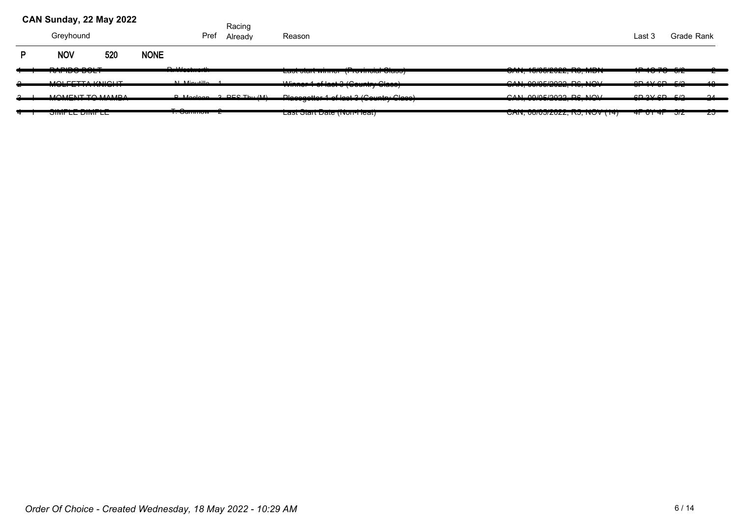#### Greyhound **Pref Already Reason** Communication Communication Communication Communication Communication Crade Rank **CAN Sunday, 22 May 2022** P NOV 520 NONE Racing Pref Already 1 RAPIDO BOLT I R. Westworth Last start winner (Provincial Class) CAN, 15/05/2022, R0, MDN 1P 4C 7C 5/2 2 2 2 MOLFETTA KNIGHT N. Minutillo 1 Winner 1 of last 3 (Country Class) CAN, 09/05/2022, R6, NOV 8P 1Y 6P 5/2 18 3 MOMENT TO MAMBA I B. Maclean R. PES Thu (M) I Placegetter 1 of last 3 (Country Class) CAN, 09/05/2022, R6, NOV 6P 3Y 6P 5/2 24 4 SIMPLE DIMPLE I T. Gummow 2 Last Start Date (Non-Heat) CAN, 08/05/2022, R5, NOV (14) 4P 6Y 4P 5/2 25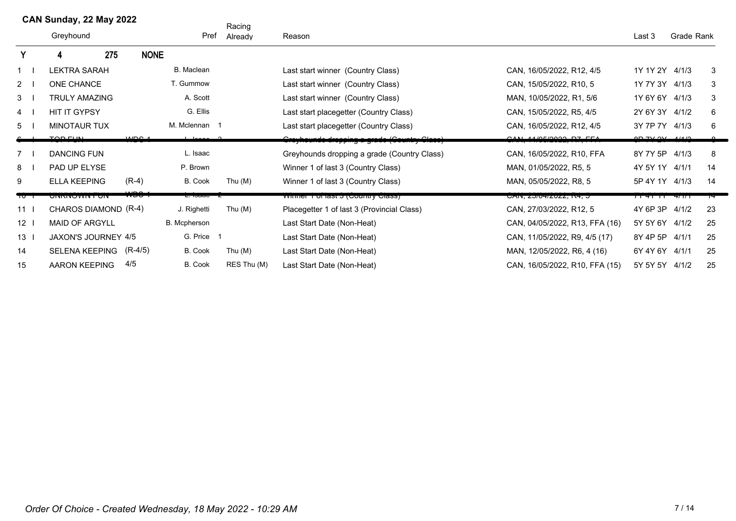|                | CAN Sunday, 22 May 2022    |     |                         |                   | Racing      |                                                    |                                |                    |            |    |
|----------------|----------------------------|-----|-------------------------|-------------------|-------------|----------------------------------------------------|--------------------------------|--------------------|------------|----|
|                | Greyhound                  |     |                         | Pref              | Already     | Reason                                             |                                | Last 3             | Grade Rank |    |
| Y              |                            | 275 | <b>NONE</b>             |                   |             |                                                    |                                |                    |            |    |
|                | <b>LEKTRA SARAH</b>        |     |                         | <b>B.</b> Maclean |             | Last start winner (Country Class)                  | CAN, 16/05/2022, R12, 4/5      | 1Y 1Y 2Y 4/1/3     |            | 3  |
| $\overline{2}$ | ONE CHANCE                 |     |                         | T. Gummow         |             | Last start winner (Country Class)                  | CAN, 15/05/2022, R10, 5        | 1Y 7Y 3Y           | 4/1/3      | 3  |
| 3              | TRULY AMAZING              |     |                         | A. Scott          |             | Last start winner (Country Class)                  | MAN, 10/05/2022, R1, 5/6       | 1Y 6Y 6Y           | 4/1/3      | 3  |
| 4              | <b>HIT IT GYPSY</b>        |     |                         | G. Ellis          |             | Last start placegetter (Country Class)             | CAN, 15/05/2022, R5, 4/5       | 2Y 6Y 3Y           | 4/1/2      | 6  |
| 5              | <b>MINOTAUR TUX</b>        |     |                         | M. Mclennan 1     |             | Last start placegetter (Country Class)             | CAN, 16/05/2022, R12, 4/5      | 3Y 7P 7Y           | 4/1/3      | 6  |
|                | <b>TAB FUNI</b>            |     | $\overline{\mathbf{m}}$ | ممممليا           |             | <b>Croyhoundo dropping a grado (Country Class)</b> | <u>CAN 44 AFROQOO DZ FEA</u>   | 0D 7V 0V 1110      |            |    |
| $7^{\circ}$    | <b>DANCING FUN</b>         |     |                         | L. Isaac          |             | Greyhounds dropping a grade (Country Class)        | CAN, 16/05/2022, R10, FFA      | 8Y 7Y 5P           | 4/1/3      | 8  |
| 8              | PAD UP ELYSE               |     |                         | P. Brown          |             | Winner 1 of last 3 (Country Class)                 | MAN, 01/05/2022, R5, 5         | 4Y 5Y 1Y           | 4/1/1      | 14 |
| 9              | <b>ELLA KEEPING</b>        |     | $(R-4)$                 | B. Cook           | Thu $(M)$   | Winner 1 of last 3 (Country Class)                 | MAN, 05/05/2022, R8, 5         | 5P 4Y 1Y 4/1/3     |            | 14 |
| ᠇ᠣ             | <b>UNNIVOWN FUN</b>        |     |                         | L. Iodau - Z      |             | <b>VVIIIIEI TUITASE 3 (COUTILITY CRISS)</b>        | UAIN, 20/04/2022, R4, 0        | $1141$ $11$ $4111$ |            |    |
| 11             | CHAROS DIAMOND (R-4)       |     |                         | J. Righetti       | Thu $(M)$   | Placegetter 1 of last 3 (Provincial Class)         | CAN, 27/03/2022, R12, 5        | 4Y 6P 3P 4/1/2     |            | 23 |
| 12             | <b>MAID OF ARGYLL</b>      |     |                         | B. Mcpherson      |             | Last Start Date (Non-Heat)                         | CAN, 04/05/2022, R13, FFA (16) | 5Y 5Y 6Y 4/1/2     |            | 25 |
| 13             | <b>JAXON'S JOURNEY 4/5</b> |     |                         | G. Price 1        |             | Last Start Date (Non-Heat)                         | CAN, 11/05/2022, R9, 4/5 (17)  | 8Y 4P 5P           | 4/1/1      | 25 |
| 14             | <b>SELENA KEEPING</b>      |     | (R-4/5)                 | B. Cook           | Thu $(M)$   | Last Start Date (Non-Heat)                         | MAN, 12/05/2022, R6, 4 (16)    | 6Y 4Y 6Y 4/1/1     |            | 25 |
| 15             | AARON KEEPING              |     | 4/5                     | B. Cook           | RES Thu (M) | Last Start Date (Non-Heat)                         | CAN, 16/05/2022, R10, FFA (15) | 5Y 5Y 5Y 4/1/2     |            | 25 |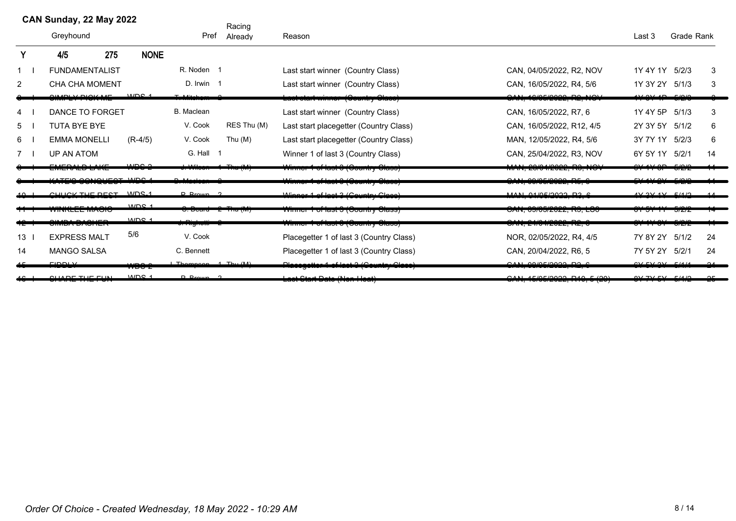|                | CAN Sunday, 22 May 2022                                              |     |                  |                        | Racing      |                                                                    |                                     |                                           |            |          |
|----------------|----------------------------------------------------------------------|-----|------------------|------------------------|-------------|--------------------------------------------------------------------|-------------------------------------|-------------------------------------------|------------|----------|
|                | Greyhound                                                            |     |                  | Pref                   | Already     | Reason                                                             |                                     | Last 3                                    | Grade Rank |          |
| Y              | 4/5                                                                  | 275 | <b>NONE</b>      |                        |             |                                                                    |                                     |                                           |            |          |
|                | <b>FUNDAMENTALIST</b>                                                |     |                  | R. Noden 1             |             | Last start winner (Country Class)                                  | CAN, 04/05/2022, R2, NOV            | 1Y 4Y 1Y 5/2/3                            |            | 3        |
| $\overline{2}$ | <b>CHA CHA MOMENT</b>                                                |     |                  | D. Irwin 1             |             | Last start winner (Country Class)                                  | CAN, 16/05/2022, R4, 5/6            | 1Y 3Y 2Y 5/1/3                            |            | 3        |
|                | <b>1110 110 110 1110</b>                                             |     | MDC <sub>4</sub> | $T = M_{i}$            |             | <del>Last start winner (Ocuntry Class)</del>                       | <u>UNI, TUNUZUZZ, IVZ, IVU</u>      | $\overline{\phantom{0}}$                  | ميمير      |          |
| 4              | DANCE TO FORGET                                                      |     |                  | <b>B.</b> Maclean      |             | Last start winner (Country Class)                                  | CAN, 16/05/2022, R7, 6              | 1Y 4Y 5P                                  | 5/1/3      | 3        |
| 5              | <b>TUTA BYE BYE</b>                                                  |     |                  | V. Cook                | RES Thu (M) | Last start placegetter (Country Class)                             | CAN, 16/05/2022, R12, 4/5           | 2Y 3Y 5Y 5/1/2                            |            | 6        |
| 6              | <b>EMMA MONELLI</b>                                                  |     | $(R-4/5)$        | V. Cook                | Thu (M)     | Last start placegetter (Country Class)                             | MAN, 12/05/2022, R4, 5/6            | 3Y 7Y 1Y 5/2/3                            |            | 6        |
|                | <b>UP AN ATOM</b>                                                    |     |                  | G. Hall 1              |             | Winner 1 of last 3 (Country Class)                                 | CAN, 25/04/2022, R3, NOV            | 6Y 5Y 1Y 5/2/1                            |            | 14       |
|                | - 1711 - 1721 - 1721 - 1731 - 1732 -<br>$\lambda$ TEIO OOMOUFOT MARS |     | محصيب            | تتمد<br>المحابات المنا | L. THE      | <del>Winner 1 of last 3 (Gountry Class)</del>                      | MAN, 20/04/2022, RS, NOV            | $\sim$ $\sim$ $\sim$ $\sim$ $\sim$ $\sim$ |            |          |
|                | mecoconec                                                            |     |                  |                        |             | Winner 1 of last 0 (Gountry Class)                                 | CAN, 09/05/2022, R5, 0              |                                           |            |          |
|                | CULLOV TUE DECT MDS 1                                                |     | MDC <sub>4</sub> | $D$ Prown $2$          |             | Winner 1 of lest 2 (Country Class)                                 | <u>MAN ALACLOASS DS C</u>           | 4V 2V 4V 2U 4U                            |            |          |
|                | סוטריווער בבביוויות                                                  |     | MDC <sub>1</sub> | <del>o. Doaru</del>    | וזיה החד    | vviring Tioniasi o (Gourniy Glass)                                 | <u>טרוז, טטוטטובטבב, וזט, בטט</u>   |                                           | בוגדי      |          |
|                | ח בודוס <i>הכי הכ</i> וועונס                                         |     |                  | <del>a nguvu</del>     |             | <del>Winner 1 of last 3 (Oountry Class)</del>                      | OAN, 24/04/2022, R2, 0              |                                           | JULU       |          |
| 13             | <b>EXPRESS MALT</b>                                                  |     | 5/6              | V. Cook                |             | Placegetter 1 of last 3 (Country Class)                            | NOR, 02/05/2022, R4, 4/5            | 7Y 8Y 2Y 5/1/2                            |            | 24       |
| 14             | <b>MANGO SALSA</b>                                                   |     |                  | C. Bennett             |             | Placegetter 1 of last 3 (Country Class)                            | CAN, 20/04/2022, R6, 5              | 7Y 5Y 2Y 5/2/1                            |            | 24       |
|                | سممت                                                                 |     | لمحسب<br>₩DOZ    | $Thompon 1$ $Thu (M)$  |             | Placegotter 1 of last 3 (Country Class)                            | CAN ABIAFIANAA DA C<br>1. 777777777 | $CVI$ $CVI$ $QVI$ $RIA$ $IA$              |            | $\Omega$ |
|                | . <del>. .</del>                                                     |     | MDC <sub>4</sub> | <u>n n.</u>            |             | للمصالح ومطالحات والمساكسة<br><del>cao: olan Dalo (Non Houl)</del> | OMLAPDCDOOO, PAO, P. (OO)           | 017.71.01                                 | $-111$     |          |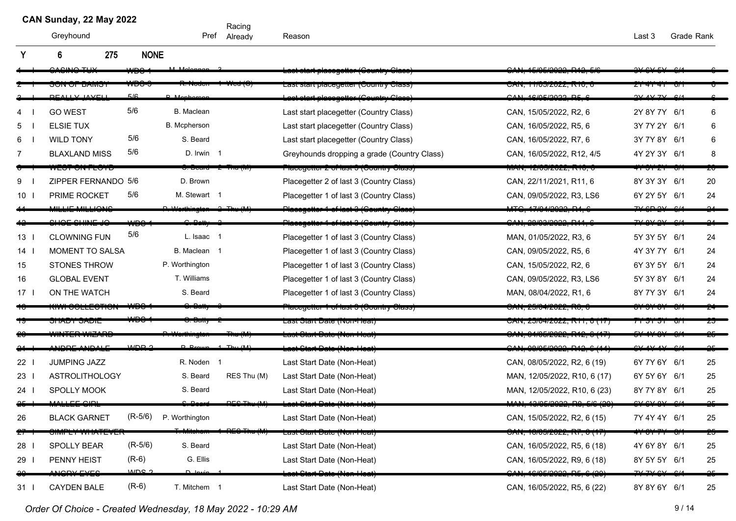Racing Pref Already

Greyhound Pref Reason Last 3 Grade Rank

|                 | 275<br>6                                   | <b>NONE</b>      |                     |             |                                                 |                                                                     |                       |    |
|-----------------|--------------------------------------------|------------------|---------------------|-------------|-------------------------------------------------|---------------------------------------------------------------------|-----------------------|----|
|                 | $\overline{\phantom{a}}$                   |                  |                     |             |                                                 | $E/2E/20022 - D42$                                                  | $\sim$ $\sim$ $\sim$  |    |
|                 | וטוואט וטיוטי                              |                  |                     |             | ردمان Las Start placegetter (بانانیه Las        | UAIN, TI/UJ/ZUZZ, IVIU,                                             |                       |    |
|                 | $\begin{array}{c} \n 0 \\ 1\n \end{array}$ | 5/6              |                     |             | <del>ut placogotter (Cou</del>                  | 2111.40000000000                                                    | 211.41771             |    |
| 4               | <b>GO WEST</b>                             | 5/6              | <b>B.</b> Maclean   |             | Last start placegetter (Country Class)          | CAN, 15/05/2022, R2, 6                                              | 2Y 8Y 7Y 6/1          | 6  |
| 5               | <b>ELSIE TUX</b>                           |                  | <b>B.</b> Mcpherson |             | Last start placegetter (Country Class)          | CAN, 16/05/2022, R5, 6                                              | 3Y 7Y 2Y 6/1          | 6  |
| 6               | <b>WILD TONY</b>                           | 5/6              | S. Beard            |             | Last start placegetter (Country Class)          | CAN, 16/05/2022, R7, 6                                              | 3Y 7Y 8Y 6/1          | 6  |
| $\overline{7}$  | <b>BLAXLAND MISS</b>                       | 5/6              | D. Irwin 1          |             | Greyhounds dropping a grade (Country Class)     | CAN, 16/05/2022, R12, 4/5                                           | 4Y 2Y 3Y 6/1          | 8  |
|                 | <u> סוט דעט וטשי</u>                       |                  |                     |             | Flacegetter 2 of last 5 (Country Class)         | <u>וארוא, ובוטשובטבב, ולוט, ט</u>                                   | मा जा ZT<br>ण         |    |
| 9               | ZIPPER FERNANDO 5/6                        |                  | D. Brown            |             | Placegetter 2 of last 3 (Country Class)         | CAN, 22/11/2021, R11, 6                                             | 8Y 3Y 3Y 6/1          | 20 |
| 10 <sub>1</sub> | PRIME ROCKET                               | 5/6              | M. Stewart 1        |             | Placegetter 1 of last 3 (Country Class)         | CAN, 09/05/2022, R3, LS6                                            | 6Y 2Y 5Y 6/1          | 24 |
|                 | $1111E$ $14111O$                           |                  |                     |             |                                                 | 1710110000                                                          |                       |    |
|                 | $110F$ $0111F$ $16$                        |                  |                     |             | Placegotter 1 of lact 3 (Gountry Cla            | 3AN, 20/03/2022, R14                                                |                       |    |
| 13 <sup>1</sup> | <b>CLOWNING FUN</b>                        | 5/6              | L. Isaac 1          |             | Placegetter 1 of last 3 (Country Class)         | MAN, 01/05/2022, R3, 6                                              | 5Y 3Y 5Y 6/1          | 24 |
| 14              | MOMENT TO SALSA                            |                  | B. Maclean 1        |             | Placegetter 1 of last 3 (Country Class)         | CAN, 09/05/2022, R5, 6                                              | 4Y 3Y 7Y 6/1          | 24 |
| 15              | <b>STONES THROW</b>                        |                  | P. Worthington      |             | Placegetter 1 of last 3 (Country Class)         | CAN, 15/05/2022, R2, 6                                              | 6Y 3Y 5Y 6/1          | 24 |
| 16              | <b>GLOBAL EVENT</b>                        |                  | T. Williams         |             | Placegetter 1 of last 3 (Country Class)         | CAN, 09/05/2022, R3, LS6                                            | 5Y 3Y 8Y 6/1          | 24 |
| $17-1$          | ON THE WATCH                               |                  | S. Beard            |             | Placegetter 1 of last 3 (Country Class)         | MAN, 08/04/2022, R1, 6                                              | 8Y 7Y 3Y 6/1          | 24 |
|                 | <u>(1771 UULLEUTTUI</u>                    |                  |                     |             | <u> Placegeller 1 of last 9 (Gountry Glass)</u> | <u>JAN, ZJJOHZOZZ, INJ, I</u>                                       |                       |    |
|                 | בוגדאס בקמוני                              |                  |                     |             | Lasi σιαπ Dai <del>c</del> (NOIFHcai <i>)</i>   | רות, באטאו <del>י</del> טונג, גווא                                  |                       |    |
|                 |                                            |                  |                     |             | -מאג טנמונ בימוס <i>(</i> וזטוו־דוסמנ)          | <del>ן זון ס , אורזו , <i>ב</i>ט</del> בעו <del>נ</del> יט, ס דורזי |                       |    |
|                 | NDDE ANDALE                                | MDD <sub>2</sub> |                     |             | d Chart Date (Nan Lle                           | OMLOOICROOQDAOQC(AA)                                                | $C_{\lambda}$ and and |    |
| $22$            | <b>JUMPING JAZZ</b>                        |                  | R. Noden 1          |             | Last Start Date (Non-Heat)                      | CAN, 08/05/2022, R2, 6 (19)                                         | 6Y 7Y 6Y 6/1          | 25 |
| $23$ l          | <b>ASTROLITHOLOGY</b>                      |                  | S. Beard            | RES Thu (M) | Last Start Date (Non-Heat)                      | MAN, 12/05/2022, R10, 6 (17)                                        | 6Y 5Y 6Y 6/1          | 25 |
| 24 I            | <b>SPOLLY MOOK</b>                         |                  | S. Beard            |             | Last Start Date (Non-Heat)                      | MAN, 12/05/2022, R10, 6 (23)                                        | 8Y 7Y 8Y 6/1          | 25 |
|                 |                                            |                  |                     | DEC TH      | <del>Last Ctart Date (Non-Heat)</del>           |                                                                     |                       |    |
| 26              | <b>BLACK GARNET</b>                        | $(R-5/6)$        | P. Worthington      |             | Last Start Date (Non-Heat)                      | CAN, 15/05/2022, R2, 6 (15)                                         | 7Y 4Y 4Y 6/1          | 25 |
|                 |                                            |                  |                     |             | <del>Last Clart Date (Non-Heat)</del>           | <del>OAN, 10/05/2022, R7, 0 (17)</del>                              |                       |    |
| 28              | SPOLLY BEAR                                | $(R-5/6)$        | S. Beard            |             | Last Start Date (Non-Heat)                      | CAN, 16/05/2022, R5, 6 (18)                                         | 4Y 6Y 8Y 6/1          | 25 |
| 29 I            | PENNY HEIST                                | $(R-6)$          | G. Ellis            |             | Last Start Date (Non-Heat)                      | CAN, 16/05/2022, R9, 6 (18)                                         | 8Y 5Y 5Y 6/1          | 25 |
|                 | NODY EVER                                  | م عصيب           |                     |             |                                                 | 16/05/2022, R5                                                      |                       |    |
| 31              | <b>CAYDEN BALE</b>                         | $(R-6)$          | T. Mitchem 1        |             | Last Start Date (Non-Heat)                      | CAN, 16/05/2022, R5, 6 (22)                                         | 8Y 8Y 6Y 6/1          | 25 |

*Order Of Choice - Created Wednesday, 18 May 2022 - 10:29 AM*  $9/14$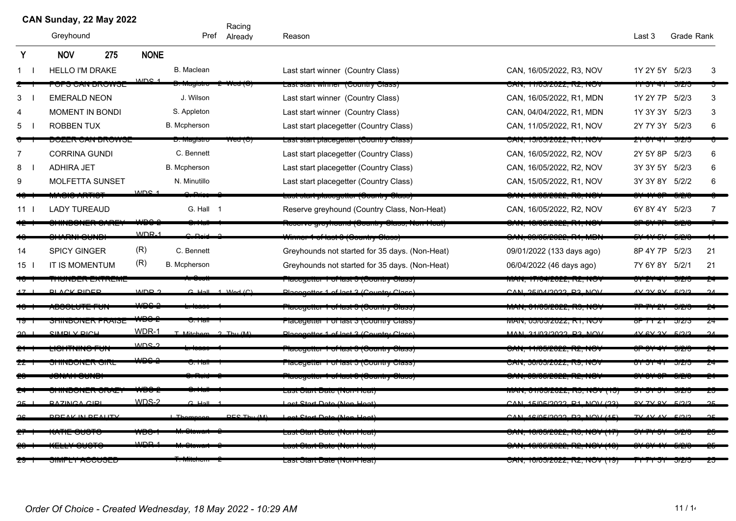|                 | CAN Sunday, 22 May 2022        |                  |                       | Racing                               |                                                  |                                          |                  |                     |                |
|-----------------|--------------------------------|------------------|-----------------------|--------------------------------------|--------------------------------------------------|------------------------------------------|------------------|---------------------|----------------|
|                 | Greyhound                      |                  |                       | Pref Already                         | Reason                                           |                                          | Last 3           | Grade Rank          |                |
| Y               | <b>NOV</b><br>275              | <b>NONE</b>      |                       |                                      |                                                  |                                          |                  |                     |                |
|                 | <b>HELLO I'M DRAKE</b>         |                  | B. Maclean            |                                      | Last start winner (Country Class)                | CAN, 16/05/2022, R3, NOV                 | 1Y 2Y 5Y 5/2/3   |                     | 3              |
|                 | <u>וסיזיטות זורש טחט</u>       | MDC              | <del>o. magiou</del>  | oa (o)                               | Lasi siari winner (Country Class)                | CAN, 11/05/2022, R2, NOV                 | <del>न ज</del>   | ਹਾਟਾਹ               |                |
| 3               | <b>EMERALD NEON</b>            |                  | J. Wilson             |                                      | Last start winner (Country Class)                | CAN, 16/05/2022, R1, MDN                 | 1Y 2Y 7P         | 5/2/3               | 3              |
| 4               | MOMENT IN BONDI                |                  | S. Appleton           |                                      | Last start winner (Country Class)                | CAN, 04/04/2022, R1, MDN                 | 1Y 3Y 3Y 5/2/3   |                     | 3              |
| 5               | <b>ROBBEN TUX</b>              |                  | <b>B.</b> Mcpherson   |                                      | Last start placegetter (Country Class)           | CAN, 11/05/2022, R1, NOV                 | 2Y 7Y 3Y 5/2/3   |                     | 6              |
|                 | <b>DUZER UAIN DRUWOE</b>       |                  | ט וופון <i>ס</i> יידע | $\overline{N}$ ca ( $\overline{C}$ ) | Last start placegetter (Country Class).          | <b>CAN, 10/00/2022, NT, NOV</b>          | ZT 01 41         | <i><b>JIZIJ</b></i> |                |
| 7               | <b>CORRINA GUNDI</b>           |                  | C. Bennett            |                                      | Last start placegetter (Country Class)           | CAN, 16/05/2022, R2, NOV                 | 2Y 5Y 8P         | 5/2/3               | 6              |
| 8               | <b>ADHIRA JET</b>              |                  | <b>B.</b> Mcpherson   |                                      | Last start placegetter (Country Class)           | CAN, 16/05/2022, R2, NOV                 | 3Y 3Y 5Y 5/2/3   |                     | 6              |
| 9               | <b>MOLFETTA SUNSET</b>         |                  | N. Minutillo          |                                      | Last start placegetter (Country Class)           | CAN, 15/05/2022, R1, NOV                 | 3Y 3Y 8Y 5/2/2   |                     | 6              |
|                 | <del>MACIO ARTICT</del>        | MDC <sub>1</sub> |                       |                                      | <u>Last start placegetter (Oountry Class)</u>    | <del>OAN, 10/05/2022, RS, NO</del> V     |                  |                     |                |
| 11              | <b>LADY TUREAUD</b>            |                  | G. Hall 1             |                                      | Reserve greyhound (Country Class, Non-Heat)      | CAN, 16/05/2022, R2, NOV                 | 6Y 8Y 4Y 5/2/3   |                     | $\overline{7}$ |
|                 | <b>ULTIMA AND LIVE OF TIME</b> |                  |                       |                                      | Reserve greyhoand (Ooantry Olass, Non-Heat)      | <u>OAN, 10/05/2022, INT, NOW</u>         |                  |                     |                |
|                 | <del>SHARNI SUNDI</del>        | $WDR-1$          | בנ <sub>י</sub> ם ה   |                                      | 'imner 1 of last 6 (Goantry Glass)               | 9AN, 09/05/2022, R1, MBI                 |                  |                     |                |
| 14              | <b>SPICY GINGER</b>            | (R)              | C. Bennett            |                                      | Greyhounds not started for 35 days. (Non-Heat)   | 09/01/2022 (133 days ago)                | 8P 4Y 7P 5/2/3   |                     | 21             |
| 15 <sup>1</sup> | IT IS MOMENTUM                 | (R)              | <b>B.</b> Mcpherson   |                                      | Greyhounds not started for 35 days. (Non-Heat)   | 06/04/2022 (46 days ago)                 | 7Y 6Y 8Y 5/2/1   |                     | 21             |
|                 | <b>ITIONDER EATREME</b>        |                  |                       |                                      | ו ומטפעכוונדו דיטו ומאג טון טעשווווז אַ טומאַז ז | ירויו, דרו <i>טיו</i> ון בע∠ב, דר, דור   | $\sigma$ $\tau$  | <b>JIZI</b>         |                |
|                 | <u>DI ACK DINED</u>            | MDD <sub>2</sub> |                       | $C$ Hall 1 $Mod(C)$                  | Discogatter 1 of loot 2 (Country Close)          | <u>CAN SEIALISASS DS NAV</u>             | vo vc vi         | 51212               | $\Omega$       |
|                 | 1000E01E1 01                   | مممس             |                       |                                      | <u> Placegeller 1 of last 3 (Gountry Glass)</u>  | <u>MAN, UTIOJIZUZZ, INJ, NON</u>         | n 1121           |                     |                |
|                 | <u>JNINDUNER PRAIJE</u>        | <del>WDO-2</del> | ७. ⊓a⊪                |                                      | Placegetter T of last 3 (Country Class)          | <b>IVIAIN, UJJUJIZUZZ, RT, INOV</b>      | $0$ r $11$ $21$  | J1Z1J               |                |
|                 | CIMDI V DICH                   | WDR-1            | T Mitchem 2 Thu (M)   |                                      | Dlacogatter 1 of last 2 (Country Class)          | NAN 21/02/2022 D2 NAN                    | $4V$ GV 2V $F/2$ |                     | $\sim$         |
|                 | יש בסיוויות ושב                | $MDC$ 2          |                       |                                      | <u>nacegener Tornast O (Country Class)</u>       | יטרוז, דווישובעצב, וזב, וזיט             |                  | JIT                 |                |
|                 | <u> איזער אישערעגענענע</u>     | بمصب             |                       |                                      | ן אסויט אַ דומטריט וואס זייט ווייטערידי          | טראש, טענטווא <sub>ט</sub>               |                  |                     |                |
|                 | JONAH GONDI                    |                  |                       |                                      | ן ומטטע צו וחוטטטן ט ומאז די די ואוזפעסור        | ירוחט (אורוס CAN, טרוסטו                 |                  | <i>ਗਟਾ</i>          |                |
|                 | ברעוט בדורוסטיוודופ            |                  |                       |                                      | <u> Last σταιτ Date (ινοπ•πισαι)</u>             | ן טון איטיוויש, טוויט (דורוויון)         |                  | ਗਟਾ                 |                |
|                 | <b>DAZINCA CIDI</b>            | $WDS-2$          | $C$ Hall              |                                      | at Ctart Data (Nan Haat)                         | CAN 15/05/2022 R1 NOV (22)               | <b>OV 7V OV</b>  | 51012               |                |
|                 | DOEAV IN DEALITY               |                  |                       | DEC The<br>(0.1)                     | $(A$ lan $H$ aat)                                | $AC(0E/0000)$ DO NOV (4E)                |                  |                     |                |
|                 |                                |                  |                       |                                      | במסר טומור בימוט (חיטור וטמו)                    | <u>ון שטון,טער בשבע העריק.</u>           |                  |                     |                |
|                 |                                | حصيب             |                       |                                      | - <del>מסו טומור טמוט (וזטוו־דוטמו)</del>        | <del>, איזי שטעוטו, וויזי</del>          |                  |                     |                |
|                 | <del>uini li Auuuul</del>      |                  |                       |                                      | Last Otalt Date (Non-Heat)                       | <del>UAIN, TURUJZUZZ, ITZ, NOV (TJ</del> |                  |                     |                |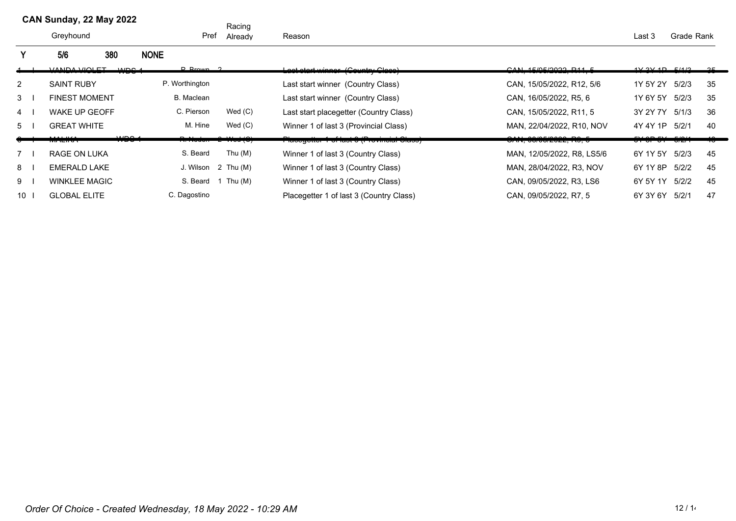Racing Pref Already

|    | 5/6<br>380           | <b>NONE</b>           |                     |                                           |                                     |               |         |    |
|----|----------------------|-----------------------|---------------------|-------------------------------------------|-------------------------------------|---------------|---------|----|
|    | <u>VANDA VIOLET</u>  | $D$ Prown $2$<br>MDOA |                     | ast start winner (Cauntry Class)          | CAN 4E/0E/2022 044 E                | 4V 2V 4D 5/4P |         | 25 |
| 2  | <b>SAINT RUBY</b>    | P. Worthington        |                     | Last start winner (Country Class)         | CAN, 15/05/2022, R12, 5/6           | 1Y 5Y 2Y      | 5/2/3   | 35 |
| 3  | <b>FINEST MOMENT</b> | B. Maclean            |                     | Last start winner (Country Class)         | CAN, 16/05/2022, R5, 6              | 1Y 6Y 5Y      | 5/2/3   | 35 |
| 4  | <b>WAKE UP GEOFF</b> | C. Pierson            | Wed $(C)$           | Last start placegetter (Country Class)    | CAN. 15/05/2022. R11. 5             | 3Y 2Y 7Y      | 5/1/3   | 36 |
| 5  | <b>GREAT WHITE</b>   | M. Hine               | Wed(C)              | Winner 1 of last 3 (Provincial Class)     | MAN, 22/04/2022, R10, NOV           | 4Y 4Y 1P      | 5/2/1   | 40 |
|    | <del>wachy.</del>    | $\mathbf{u}$<br>,,,,  |                     | ן נכסוט וואטווויט ון די האדוט דו וטאורומט | <del>UAIN, UUIUJIZUZZ, INJ, J</del> |               | - 172 T |    |
|    | RAGE ON LUKA         | S. Beard              | Thu $(M)$           | Winner 1 of last 3 (Country Class)        | MAN, 12/05/2022, R8, LS5/6          | 6Y 1Y 5Y      | 5/2/3   | 45 |
| 8  | EMERALD LAKE         |                       | J. Wilson 2 Thu (M) | Winner 1 of last 3 (Country Class)        | MAN. 28/04/2022. R3. NOV            | 6Y 1Y 8P      | 5/2/2   | 45 |
| 9  | <b>WINKLEE MAGIC</b> | S. Beard              | Thu (M)             | Winner 1 of last 3 (Country Class)        | CAN, 09/05/2022, R3, LS6            | 6Y 5Y 1Y      | 5/2/2   | 45 |
| 10 | <b>GLOBAL ELITE</b>  | C. Dagostino          |                     | Placegetter 1 of last 3 (Country Class)   | CAN, 09/05/2022, R7, 5              | 6Y 3Y 6Y      | 5/2/1   | 47 |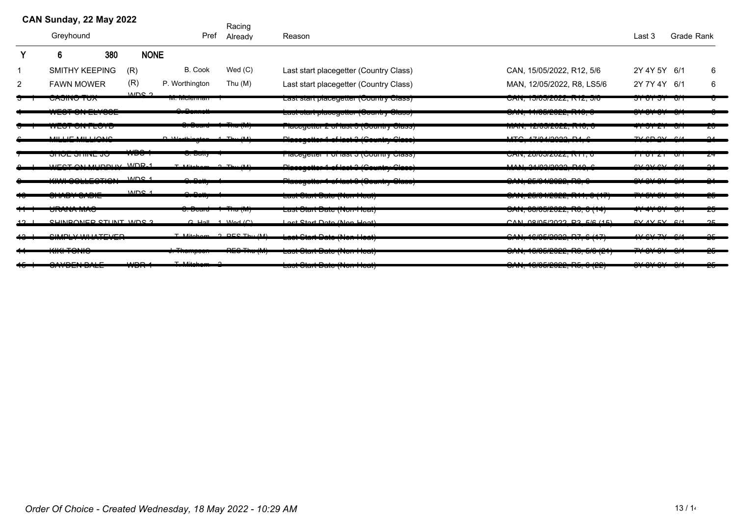|   | CAN Sunday, 22 May 2022                                |     |                  |                             | Racing            |                                                                              |                                                           |                                                                         |                                    |  |
|---|--------------------------------------------------------|-----|------------------|-----------------------------|-------------------|------------------------------------------------------------------------------|-----------------------------------------------------------|-------------------------------------------------------------------------|------------------------------------|--|
|   | Greyhound                                              |     |                  | Pref                        | Already           | Reason                                                                       |                                                           | Last 3                                                                  | <b>Grade Rank</b>                  |  |
| Y | 6                                                      | 380 | <b>NONE</b>      |                             |                   |                                                                              |                                                           |                                                                         |                                    |  |
|   | <b>SMITHY KEEPING</b>                                  |     | (R)              | <b>B.</b> Cook              | Wed $(C)$         | Last start placegetter (Country Class)                                       | CAN, 15/05/2022, R12, 5/6                                 | 2Y 4Y 5Y 6/1                                                            | 6                                  |  |
| 2 | <b>FAWN MOWER</b>                                      |     | (R)              | P. Worthington              | Thu $(M)$         | Last start placegetter (Country Class)                                       | MAN, 12/05/2022, R8, LS5/6                                | 2Y 7Y 4Y 6/1                                                            | 6                                  |  |
|   | <b>UADIIYU TUA</b>                                     |     | aldre 2          | ווטו וויוסוטוויוס           |                   | Last start placegetter (Couritity Class)                                     | <b>UAIN, TUIUUIZUZZ, INTZ, UIU</b>                        | <u>ətotət oli</u>                                                       | ᠳ                                  |  |
|   | $\frac{1}{2}$<br>WEST SITELIS                          |     |                  | مم                          |                   | Laot olant placegotion (Ocumity Oldoo)                                       | $V''''$ , $V''$ $V''$ $V''$ $V''$ $V''$ $V''$ $V''$       | 0,1,0,1,0,1<br><del>,,,,,,,,</del>                                      | $\sim$<br>᠊ᡨ                       |  |
|   | <del>ULOI UN LUTU</del>                                |     |                  | <del>o. Doaru</del>         | <del>.</del>      | ι ιαυτάσισι τ οι ιαρι ο (φυσιπιν φιαρρ)                                      | <u>ט, טורוז, ובו שטובע ב, ווידעוזו</u>                    | <del>मा आ टा</del>                                                      | zσ<br>᠊ᠳ                           |  |
|   | <u>MILLIE MILLIONIO</u><br>. <del>.</del> <del>.</del> |     |                  | $D$ Warthington $A$ Thu (M) |                   | Placegotter 1 of last 3 (Gountry Clase)                                      | $MTC$ $A ZIAI QQQQQL R$                                   | $7VCD$ $9V$ $014$                                                       | $\Omega$                           |  |
|   | <del>onoe onine jo</del>                               |     | $\sqrt{100}$     | <del>o. Dally</del>         |                   | riacegener i unasi J (Country Class)                                         | UAIN, <i><b>ZOIUJIZUZZ, INTT,</b></i>                     | <del>71 01 21 - 071</del>                                               | 74                                 |  |
|   | WEST ON MURDING WORLD                                  |     |                  | $T$ Mitcham $2$ Thu (M)     |                   | Placegetter 1 of last 3 (Country Class)                                      | MAN SAROROOS DAS S<br>יו ה <i>בבט בוטטור</i> ט היה הזו    | $\alpha$ $\alpha$ $\alpha$ $\alpha$ $\alpha$ $\alpha$ $\alpha$ $\alpha$ | $\Omega$                           |  |
|   | <u>KIMILAALLEATIANL</u><br><del>www.concept.com</del>  |     | MDC <sub>1</sub> | سممد                        |                   | $\overline{1}$<br><del>1 1000yottor 1 or 100t 0 (Oountry Oldoo)</del>        | $\Omega$<br>ט , טו , <i>בטו</i> ס <i>זוב</i> טבב, ו זט, ט | $\sim$ $\sim$                                                           | $\sim$<br>$\mathbf{A}$             |  |
|   | مسمع يدمسه<br>--------------                           |     | MDC <sub>1</sub> | سمده                        |                   | <u> Laor Ulair Dalu (Nuim Iuar)</u>                                          | <u> UNIT, ZUI UTZUZZ, IN II, UTII I</u>                   | T<br><del>⊓ ਰਾਰ</del>                                                   | ᠳ<br>ᡔᠣ                            |  |
|   | סהיה היה הס                                            |     |                  | <del>o.boaru i mutmi</del>  |                   | <u> Last σταιτ Date (πισι-πιθατ)</u>                                         | UNIY, UUIUJIZUZZ, IYU, U (14)                             | <del>4141 01 - 011</del>                                                | zσ                                 |  |
|   | CLINDANED CTUNT MDC 2                                  |     |                  | $C$ Hall 1 $Wod$ $(C)$      |                   | Lost Start Data (Nan Haat)                                                   | $CAN$ $\Omega$ $\Omega$ $COM$                             | $AVAVEV$ $611$                                                          | 25                                 |  |
|   | CUMDIVUMIATCUTD                                        |     |                  | $T$ Mitcham                 | $2$ DEC Thu $(M)$ | للمملك ويوالة تماجيك بالمستلات بالمستل<br><u>Laor Olan Dalo (1101 110au)</u> | OMI ACIOFI0000 D7 C147                                    | $4\sqrt{N}$ $7\sqrt{N}$                                                 | $\sim$                             |  |
|   | $1111 + 72110$<br>ww <del>on</del>                     |     |                  | $T^{\prime}$                | DEO TH            | Laot Olan Dalo (Non-Noal)                                                    | $\Omega$<br><del>UNIS, TURUZULL, INU, UIU (LT</del>       | $\neg y \wedge \neg y \wedge \neg y$                                    | $\sim$ $\sim$<br>$\sim$<br>ΣU<br>ᠳ |  |
|   | \\\/\\\\\\\\\\\<br><del>,,,,,,,,,,,,,</del>            |     | V                | $T = 0$ ditals<br>$\sim$    |                   | $\mathbf{L}$<br>Last Start Date (Non-Neat)                                   | $\Omega$<br>V(W, TUVVULVLL, TV, VULL)                     | $\sim$ $\sim$<br><del>, איט וטו</del> ס                                 | $\sim$<br>$\sim$ $\sim$<br>ΣU      |  |